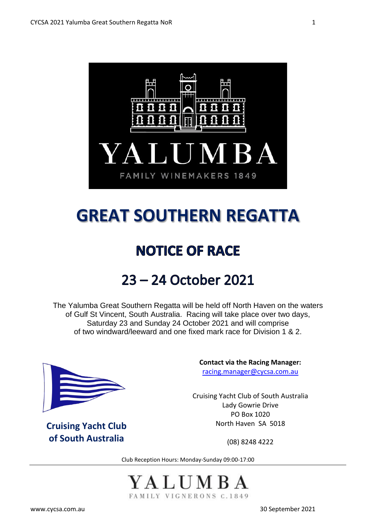

# **GREAT SOUTHERN REGATTA**

# **NOTICE OF RACE**

# 23 - 24 October 2021

The Yalumba Great Southern Regatta will be held off North Haven on the waters of Gulf St Vincent, South Australia. Racing will take place over two days, Saturday 23 and Sunday 24 October 2021 and will comprise of two windward/leeward and one fixed mark race for Division 1 & 2.



**Cruising Yacht Club of South Australia**

**Contact via the Racing Manager:** [racing.manager@cycsa.com.au](mailto:racing.manager@cycsa.com.au)

Cruising Yacht Club of South Australia Lady Gowrie Drive PO Box 1020 North Haven SA 5018

(08) 8248 4222

Club Reception Hours: Monday-Sunday 09:00-17:00



[www.cycsa.com.au](http://www.cycsa.com.au/) 30 September 2021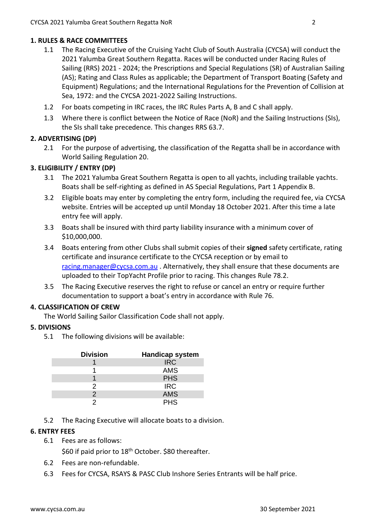# **1. RULES & RACE COMMITTEES**

- 1.1 The Racing Executive of the Cruising Yacht Club of South Australia (CYCSA) will conduct the 2021 Yalumba Great Southern Regatta. Races will be conducted under Racing Rules of Sailing (RRS) 2021 - 2024; the Prescriptions and Special Regulations (SR) of Australian Sailing (AS); Rating and Class Rules as applicable; the Department of Transport Boating (Safety and Equipment) Regulations; and the International Regulations for the Prevention of Collision at Sea, 1972: and the CYCSA 2021-2022 Sailing Instructions.
- 1.2 For boats competing in IRC races, the IRC Rules Parts A, B and C shall apply.
- 1.3 Where there is conflict between the Notice of Race (NoR) and the Sailing Instructions (SIs), the SIs shall take precedence. This changes RRS 63.7.

# **2. ADVERTISING (DP)**

2.1 For the purpose of advertising, the classification of the Regatta shall be in accordance with World Sailing Regulation 20.

# **3. ELIGIBILITY / ENTRY (DP)**

- 3.1 The 2021 Yalumba Great Southern Regatta is open to all yachts, including trailable yachts. Boats shall be self-righting as defined in AS Special Regulations, Part 1 Appendix B.
- 3.2 Eligible boats may enter by completing the entry form, including the required fee, via CYCSA website. Entries will be accepted up until Monday 18 October 2021. After this time a late entry fee will apply.
- 3.3 Boats shall be insured with third party liability insurance with a minimum cover of \$10,000,000.
- 3.4 Boats entering from other Clubs shall submit copies of their **signed** safety certificate, rating certificate and insurance certificate to the CYCSA reception or by email to [racing.manager@cycsa.com.au](mailto:racing.manager@cycsa.com.au) . Alternatively, they shall ensure that these documents are uploaded to their TopYacht Profile prior to racing. This changes Rule 78.2.
- 3.5 The Racing Executive reserves the right to refuse or cancel an entry or require further documentation to support a boat's entry in accordance with Rule 76.

### **4. CLASSIFICATION OF CREW**

The World Sailing Sailor Classification Code shall not apply.

### **5. DIVISIONS**

5.1 The following divisions will be available:

| <b>Division</b> | <b>Handicap system</b> |  |  |
|-----------------|------------------------|--|--|
|                 | <b>IRC</b>             |  |  |
|                 | <b>AMS</b>             |  |  |
|                 | <b>PHS</b>             |  |  |
| 2               | <b>IRC</b>             |  |  |
| 2               | <b>AMS</b>             |  |  |
|                 | <b>PHS</b>             |  |  |

5.2 The Racing Executive will allocate boats to a division.

## **6. ENTRY FEES**

6.1 Fees are as follows:

\$60 if paid prior to 18<sup>th</sup> October. \$80 thereafter.

- 6.2 Fees are non-refundable.
- 6.3 Fees for CYCSA, RSAYS & PASC Club Inshore Series Entrants will be half price.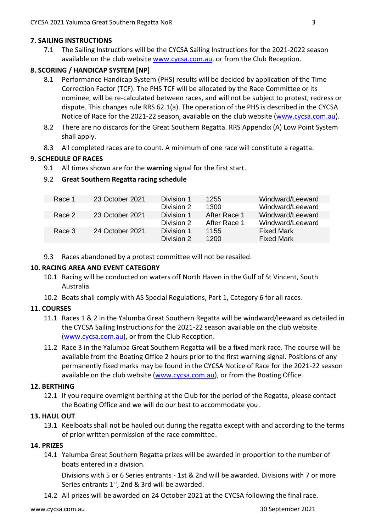## **7. SAILING INSTRUCTIONS**

7.1 The Sailing Instructions will be the CYCSA Sailing Instructions for the 2021-2022 season available on the club website [www.cycsa.com.au,](http://www.cycsa.com.au/) or from the Club Reception.

# **8. SCORING / HANDICAP SYSTEM [NP]**

- 8.1 Performance Handicap System (PHS) results will be decided by application of the Time Correction Factor (TCF). The PHS TCF will be allocated by the Race Committee or its nominee, will be re-calculated between races, and will not be subject to protest, redress or dispute. This changes rule RRS 62.1(a). The operation of the PHS is described in the CYCSA Notice of Race for the 2021-22 season, available on the club website [\(www.cycsa.com.au\)](http://www.cycsa.com.au/).
- 8.2 There are no discards for the Great Southern Regatta. RRS Appendix (A) Low Point System shall apply.
- 8.3 All completed races are to count. A minimum of one race will constitute a regatta.

# **9. SCHEDULE OF RACES**

9.1 All times shown are for the **warning** signal for the first start.

# 9.2 **Great Southern Regatta racing schedule**

| 23 October 2021 | Division 1 | 1255         | Windward/Leeward  |
|-----------------|------------|--------------|-------------------|
|                 | Division 2 | 1300         | Windward/Leeward  |
| 23 October 2021 | Division 1 | After Race 1 | Windward/Leeward  |
|                 | Division 2 | After Race 1 | Windward/Leeward  |
| 24 October 2021 | Division 1 | 1155         | <b>Fixed Mark</b> |
|                 | Division 2 | 1200         | <b>Fixed Mark</b> |
|                 |            |              |                   |

9.3 Races abandoned by a protest committee will not be resailed.

# **10. RACING AREA AND EVENT CATEGORY**

- 10.1 Racing will be conducted on waters off North Haven in the Gulf of St Vincent, South Australia.
- 10.2 Boats shall comply with AS Special Regulations, Part 1, Category 6 for all races.

### **11. COURSES**

- 11.1 Races 1 & 2 in the Yalumba Great Southern Regatta will be windward/leeward as detailed in the CYCSA Sailing Instructions for the 2021-22 season available on the club website [\(www.cycsa.com.au\)](http://www.cycsa.com.au/), or from the Club Reception.
- 11.2 Race 3 in the Yalumba Great Southern Regatta will be a fixed mark race. The course will be available from the Boating Office 2 hours prior to the first warning signal. Positions of any permanently fixed marks may be found in the CYCSA Notice of Race for the 2021-22 season available on the club website [\(www.cycsa.com.au\)](http://www.cycsa.com.au/), or from the Boating Office.

### **12. BERTHING**

12.1 If you require overnight berthing at the Club for the period of the Regatta, please contact the Boating Office and we will do our best to accommodate you.

### **13. HAUL OUT**

13.1 Keelboats shall not be hauled out during the regatta except with and according to the terms of prior written permission of the race committee.

### **14. PRIZES**

14.1 Yalumba Great Southern Regatta prizes will be awarded in proportion to the number of boats entered in a division.

Divisions with 5 or 6 Series entrants - 1st & 2nd will be awarded. Divisions with 7 or more Series entrants  $1<sup>st</sup>$ , 2nd & 3rd will be awarded.

14.2 All prizes will be awarded on 24 October 2021 at the CYCSA following the final race.